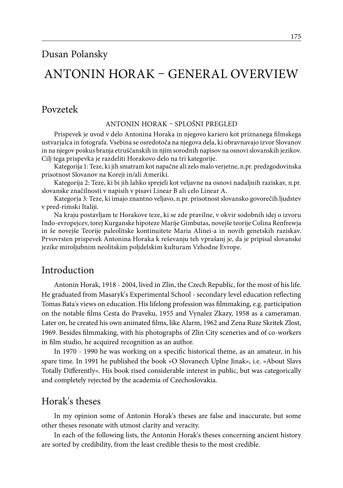# Antonin Horak – general overview

# Povzetek

#### Antonin Horak – splošni pregled

Prispevek je uvod v delo Antonina Horaka in njegovo kariero kot priznanega filmskega ustvarjalca in fotografa. Vsebina se osredotoča na njegova dela, ki obravnavajo izvor Slovanov in na njegov poskus branja etruščanskih in njim sorodnih napisov na osnovi slovanskih jezikov. Cilj tega prispevka je razdeliti Horakovo delo na tri kategorije.

Kategorija 1: Teze, ki jih smatram kot napačne ali zelo malo verjetne, n.pr. predzgodovinska prisotnost Slovanov na Koreji in/ali Ameriki.

Kategorija 2: Teze, ki bi jih lahko sprejeli kot veljavne na osnovi nadaljnih raziskav, n.pr. slovanske značilnosti v napisih v pisavi Linear B ali celo Linear A.

Kategorja 3: Teze, ki imajo znantno veljavo, n.pr. prisotnost slovansko govorečih ljudstev v pred-rimski Italiji.

Na kraju postavljam te Horakove teze, ki se zde pravilne, v okvir sodobnih idej o izvoru Indo-evropejcev, torej Kurganske hipoteze Marije Gimbutas, novejše teorije Colina Renfrewja in še novejše Teorije paleolitske kontinuitete Maria Alinei-a in novih genetskih raziskav. Prvovrsten prispevek Antonina Horaka k reševanju teh vprašanj je, da je pripisal slovanske jezike miroljubnim neolitskim poljdelskim kulturam Vzhodne Evrope.

# Introduction

Antonin Horak, 1918 - 2004, lived in Zlin, the Czech Republic, for the most of his life. He graduated from Masaryk's Experimental School - secondary level education reflecting Tomas Bata's views on education. His lifelong profession was filmmaking, e.g. participation on the notable films Cesta do Praveku, 1955 and Vynalez Zkazy, 1958 as a cameraman. Later on, he created his own animated films, like Alarm, 1962 and Zena Ruze Skritek Zlost, 1969. Besides filmmaking, with his photographs of Zlin City sceneries and of co-workers in film studio, he acquired recognition as an author.

In 1970 - 1990 he was working on a specific historical theme, as an amateur, in his spare time. In 1991 he published the book »O Slovanech Uplne Jinak«, i.e. »About Slavs Totally Differently«. His book rised considerable interest in public, but was categorically and completely rejected by the academia of Czechoslovakia.

# Horak's theses

In my opinion some of Antonin Horak's theses are false and inaccurate, but some other theses resonate with utmost clarity and veracity.

In each of the following lists, the Antonin Horak's theses concerning ancient history are sorted by credibility, from the least credible thesis to the most credible.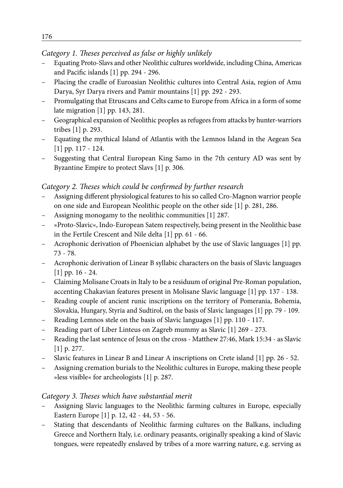#### *Category 1. Theses perceived as false or highly unlikely*

- Equating Proto-Slavs and other Neolithic cultures worldwide, including China, Americas and Pacific islands [1] pp. 294 - 296.
- Placing the cradle of Euroasian Neolithic cultures into Central Asia, region of Amu Darya, Syr Darya rivers and Pamir mountains [1] pp. 292 - 293.
- Promulgating that Etruscans and Celts came to Europe from Africa in a form of some late migration [1] pp. 143, 281.
- Geographical expansion of Neolithic peoples as refugees from attacks by hunter-warriors tribes [1] p. 293.
- Equating the mythical Island of Atlantis with the Lemnos Island in the Aegean Sea [1] pp. 117 - 124.
- Suggesting that Central European King Samo in the 7th century AD was sent by Byzantine Empire to protect Slavs [1] p. 306.

### *Category 2. Theses which could be confirmed by further research*

- Assigning different physiological features to his so called Cro-Magnon warrior people on one side and European Neolithic people on the other side [1] p. 281, 286.
- Assigning monogamy to the neolithic communities [1] 287.
- »Proto-Slavic«, Indo-European Satem respectively, being present in the Neolithic base in the Fertile Crescent and Nile delta [1] pp. 61 - 66.
- Acrophonic derivation of Phoenician alphabet by the use of Slavic languages [1] pp. 73 - 78.
- Acrophonic derivation of Linear B syllabic characters on the basis of Slavic languages [1] pp. 16 - 24.
- Claiming Molisane Croats in Italy to be a residuum of original Pre-Roman population, accenting Chakavian features present in Molisane Slavic language [1] pp. 137 - 138.
- Reading couple of ancient runic inscriptions on the territory of Pomerania, Bohemia, Slovakia, Hungary, Styria and Sudtirol, on the basis of Slavic languages [1] pp. 79 - 109.
- Reading Lemnos stele on the basis of Slavic languages [1] pp. 110 117.
- Reading part of Liber Linteus on Zagreb mummy as Slavic [1] 269 273.
- Reading the last sentence of Jesus on the cross Matthew 27:46, Mark 15:34 as Slavic [1] p. 277.
- Slavic features in Linear B and Linear A inscriptions on Crete island [1] pp. 26 52.
- Assigning cremation burials to the Neolithic cultures in Europe, making these people »less visible« for archeologists [1] p. 287.

# *Category 3. Theses which have substantial merit*

- Assigning Slavic languages to the Neolithic farming cultures in Europe, especially Eastern Europe [1] p. 12, 42 - 44, 53 - 56.
- Stating that descendants of Neolithic farming cultures on the Balkans, including Greece and Northern Italy, i.e. ordinary peasants, originally speaking a kind of Slavic tongues, were repeatedly enslaved by tribes of a more warring nature, e.g. serving as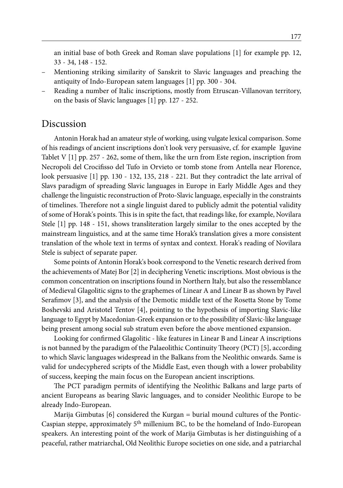an initial base of both Greek and Roman slave populations [1] for example pp. 12, 33 - 34, 148 - 152.

- Mentioning striking similarity of Sanskrit to Slavic languages and preaching the antiquity of Indo-European satem languages [1] pp. 300 - 304.
- Reading a number of Italic inscriptions, mostly from Etruscan-Villanovan territory, on the basis of Slavic languages [1] pp. 127 - 252.

### Discussion

Antonin Horak had an amateur style of working, using vulgate lexical comparison. Some of his readings of ancient inscriptions don't look very persuasive, cf. for example Iguvine Tablet V [1] pp. 257 - 262, some of them, like the urn from Este region, inscription from Necropoli del Crocifisso del Tufo in Orvieto or tomb stone from Antella near Florence, look persuasive [1] pp. 130 - 132, 135, 218 - 221. But they contradict the late arrival of Slavs paradigm of spreading Slavic languages in Europe in Early Middle Ages and they challenge the linguistic reconstruction of Proto-Slavic language, especially in the constraints of timelines. Therefore not a single linguist dared to publicly admit the potential validity of some of Horak's points. This is in spite the fact, that readings like, for example, Novilara Stele [1] pp. 148 - 151, shows transliteration largely similar to the ones accepted by the mainstream linguistics, and at the same time Horak's translation gives a more consistent translation of the whole text in terms of syntax and context. Horak's reading of Novilara Stele is subject of separate paper.

Some points of Antonin Horak's book correspond to the Venetic research derived from the achievements of Matej Bor [2] in deciphering Venetic inscriptions. Most obvious is the common concentration on inscriptions found in Northern Italy, but also the ressemblance of Medieval Glagolitic signs to the graphemes of Linear A and Linear B as shown by Pavel Serafimov [3], and the analysis of the Demotic middle text of the Rosetta Stone by Tome Boshevski and Aristotel Tentov [4], pointing to the hypothesis of importing Slavic-like language to Egypt by Macedonian-Greek expansion or to the possibility of Slavic-like language being present among social sub stratum even before the above mentioned expansion.

Looking for confirmed Glagolitic - like features in Linear B and Linear A inscriptions is not banned by the paradigm of the Palaeolithic Continuity Theory (PCT) [5], according to which Slavic languages widespread in the Balkans from the Neolithic onwards. Same is valid for undecyphered scripts of the Middle East, even though with a lower probability of success, keeping the main focus on the European ancient inscriptions.

The PCT paradigm permits of identifying the Neolithic Balkans and large parts of ancient Europeans as bearing Slavic languages, and to consider Neolithic Europe to be already Indo-European.

Marija Gimbutas [6] considered the Kurgan = burial mound cultures of the Pontic-Caspian steppe, approximately 5<sup>th</sup> millenium BC, to be the homeland of Indo-European speakers. An interesting point of the work of Marija Gimbutas is her distinguishing of a peaceful, rather matriarchal, Old Neolithic Europe societies on one side, and a patriarchal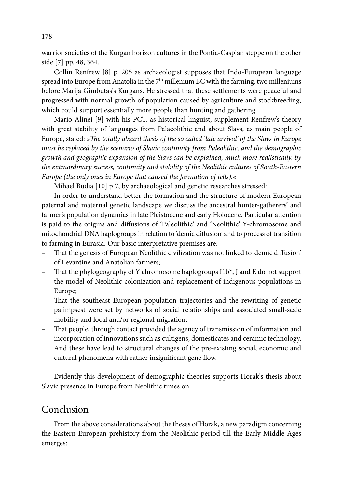warrior societies of the Kurgan horizon cultures in the Pontic-Caspian steppe on the other side [7] pp. 48, 364.

Collin Renfrew [8] p. 205 as archaeologist supposes that Indo-European language spread into Europe from Anatolia in the  $7<sup>th</sup>$  millenium BC with the farming, two milleniums before Marija Gimbutas's Kurgans. He stressed that these settlements were peaceful and progressed with normal growth of population caused by agriculture and stockbreeding, which could support essentially more people than hunting and gathering.

Mario Alinei [9] with his PCT, as historical linguist, supplement Renfrew's theory with great stability of languages from Palaeolithic and about Slavs, as main people of Europe, stated: *»The totally absurd thesis of the so called 'late arrival' of the Slavs in Europe must be replaced by the scenario of Slavic continuity from Paleolithic, and the demographic growth and geographic expansion of the Slavs can be explained, much more realistically, by the extraordinary success, continuity and stability of the Neolithic cultures of South-Eastern Europe (the only ones in Europe that caused the formation of tells).«*

Mihael Budja [10] p 7, by archaeological and genetic researches stressed:

In order to understand better the formation and the structure of modern European paternal and maternal genetic landscape we discuss the ancestral hunter-gatherers' and farmer's population dynamics in late Pleistocene and early Holocene. Particular attention is paid to the origins and diffusions of 'Paleolithic' and 'Neolithic' Y-chromosome and mitochondrial DNA haplogroups in relation to 'demic diffusion' and to process of transition to farming in Eurasia. Our basic interpretative premises are:

- That the genesis of European Neolithic civilization was not linked to 'demic diffusion' of Levantine and Anatolian farmers;
- That the phylogeography of Y chromosome haplogroups I1b\*, J and E do not support the model of Neolithic colonization and replacement of indigenous populations in Europe;
- That the southeast European population trajectories and the rewriting of genetic palimpsest were set by networks of social relationships and associated small-scale mobility and local and/or regional migration;
- That people, through contact provided the agency of transmission of information and incorporation of innovations such as cultigens, domesticates and ceramic technology. And these have lead to structural changes of the pre-existing social, economic and cultural phenomena with rather insignificant gene flow.

Evidently this development of demographic theories supports Horak's thesis about Slavic presence in Europe from Neolithic times on.

# Conclusion

From the above considerations about the theses of Horak, a new paradigm concerning the Eastern European prehistory from the Neolithic period till the Early Middle Ages emerges: